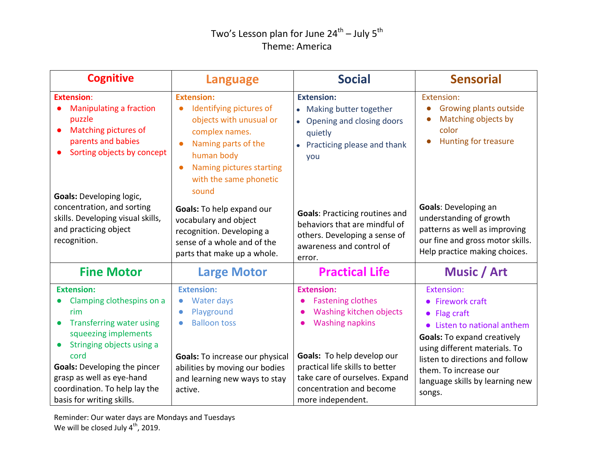## Two's Lesson plan for June 24<sup>th</sup> – July 5<sup>th</sup> Theme: America

| <b>Cognitive</b>                                                                                                                                                                                                                                                 | <b>Language</b>                                                                                                                                                                                                   | <b>Social</b>                                                                                                                                                                                         | <b>Sensorial</b>                                                                                                                                                                                                                                            |
|------------------------------------------------------------------------------------------------------------------------------------------------------------------------------------------------------------------------------------------------------------------|-------------------------------------------------------------------------------------------------------------------------------------------------------------------------------------------------------------------|-------------------------------------------------------------------------------------------------------------------------------------------------------------------------------------------------------|-------------------------------------------------------------------------------------------------------------------------------------------------------------------------------------------------------------------------------------------------------------|
| <b>Extension:</b><br><b>Manipulating a fraction</b><br>puzzle<br>Matching pictures of<br>$\bullet$<br>parents and babies<br>Sorting objects by concept                                                                                                           | <b>Extension:</b><br>Identifying pictures of<br>$\bullet$<br>objects with unusual or<br>complex names.<br>Naming parts of the<br>human body<br>Naming pictures starting<br>with the same phonetic                 | <b>Extension:</b><br>• Making butter together<br>Opening and closing doors<br>quietly<br>• Practicing please and thank<br>you                                                                         | Extension:<br>Growing plants outside<br>$\bullet$<br>Matching objects by<br>color<br><b>Hunting for treasure</b>                                                                                                                                            |
| <b>Goals: Developing logic,</b><br>concentration, and sorting<br>skills. Developing visual skills,<br>and practicing object<br>recognition.                                                                                                                      | sound<br>Goals: To help expand our<br>vocabulary and object<br>recognition. Developing a<br>sense of a whole and of the<br>parts that make up a whole.                                                            | <b>Goals: Practicing routines and</b><br>behaviors that are mindful of<br>others. Developing a sense of<br>awareness and control of<br>error.                                                         | <b>Goals: Developing an</b><br>understanding of growth<br>patterns as well as improving<br>our fine and gross motor skills.<br>Help practice making choices.                                                                                                |
| <b>Fine Motor</b>                                                                                                                                                                                                                                                | <b>Large Motor</b>                                                                                                                                                                                                | <b>Practical Life</b>                                                                                                                                                                                 | Music / Art                                                                                                                                                                                                                                                 |
| <b>Extension:</b><br>Clamping clothespins on a<br>$\bullet$<br>rim<br><b>Transferring water using</b><br>$\bullet$<br>squeezing implements<br>Stringing objects using a<br>$\bullet$<br>cord<br><b>Goals:</b> Developing the pincer<br>grasp as well as eye-hand | <b>Extension:</b><br>Water days<br>$\bullet$<br>Playground<br>$\bullet$<br><b>Balloon toss</b><br>$\bullet$<br>Goals: To increase our physical<br>abilities by moving our bodies<br>and learning new ways to stay | <b>Extension:</b><br><b>Fastening clothes</b><br>Washing kitchen objects<br><b>Washing napkins</b><br>Goals: To help develop our<br>practical life skills to better<br>take care of ourselves. Expand | Extension:<br>• Firework craft<br>$\bullet$ Flag craft<br>• Listen to national anthem<br><b>Goals:</b> To expand creatively<br>using different materials. To<br>listen to directions and follow<br>them. To increase our<br>language skills by learning new |
| coordination. To help lay the<br>basis for writing skills.                                                                                                                                                                                                       | active.                                                                                                                                                                                                           | concentration and become<br>more independent.                                                                                                                                                         | songs.                                                                                                                                                                                                                                                      |

Reminder: Our water days are Mondays and Tuesdays We will be closed July  $4^{\text{th}}$ , 2019.